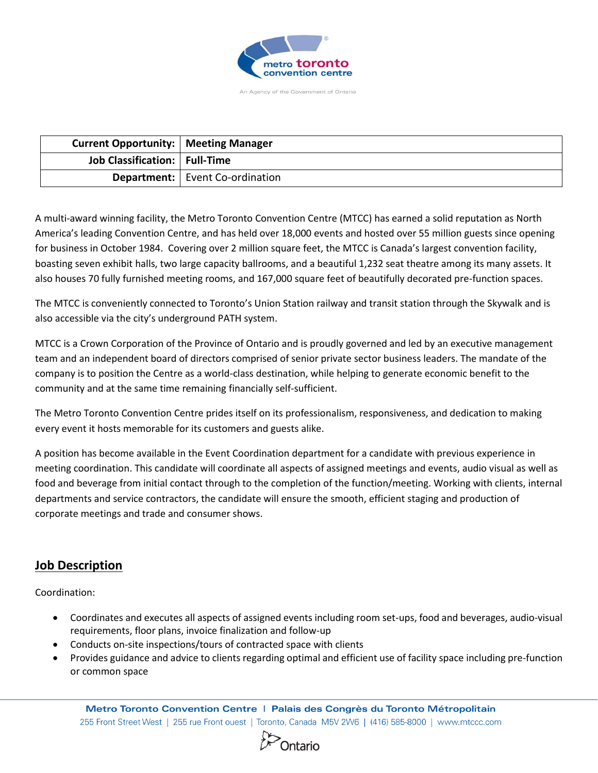

An Agency of the Government of Ontario

| <b>Current Opportunity:   Meeting Manager</b> |                                          |
|-----------------------------------------------|------------------------------------------|
| Job Classification:   Full-Time               |                                          |
|                                               | <b>Department:</b>   Event Co-ordination |

A multi-award winning facility, the Metro Toronto Convention Centre (MTCC) has earned a solid reputation as North America's leading Convention Centre, and has held over 18,000 events and hosted over 55 million guests since opening for business in October 1984. Covering over 2 million square feet, the MTCC is Canada's largest convention facility, boasting seven exhibit halls, two large capacity ballrooms, and a beautiful 1,232 seat theatre among its many assets. It also houses 70 fully furnished meeting rooms, and 167,000 square feet of beautifully decorated pre-function spaces.

The MTCC is conveniently connected to Toronto's Union Station railway and transit station through the Skywalk and is also accessible via the city's underground PATH system.

MTCC is a Crown Corporation of the Province of Ontario and is proudly governed and led by an executive management team and an independent board of directors comprised of senior private sector business leaders. The mandate of the company is to position the Centre as a world-class destination, while helping to generate economic benefit to the community and at the same time remaining financially self-sufficient.

The Metro Toronto Convention Centre prides itself on its professionalism, responsiveness, and dedication to making every event it hosts memorable for its customers and guests alike.

A position has become available in the Event Coordination department for a candidate with previous experience in meeting coordination. This candidate will coordinate all aspects of assigned meetings and events, audio visual as well as food and beverage from initial contact through to the completion of the function/meeting. Working with clients, internal departments and service contractors, the candidate will ensure the smooth, efficient staging and production of corporate meetings and trade and consumer shows.

# **Job Description**

Coordination:

- Coordinates and executes all aspects of assigned events including room set-ups, food and beverages, audio-visual requirements, floor plans, invoice finalization and follow-up
- Conducts on-site inspections/tours of contracted space with clients
- Provides guidance and advice to clients regarding optimal and efficient use of facility space including pre-function or common space

Metro Toronto Convention Centre | Palais des Congrès du Toronto Métropolitain 255 Front Street West | 255 rue Front ouest | Toronto, Canada M5V 2W6 | (416) 585-8000 | www.mtccc.com

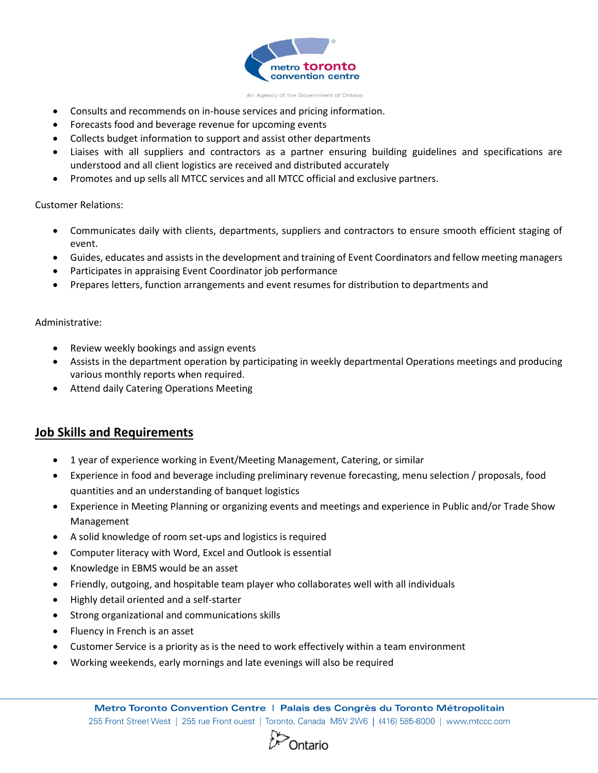

An Agency of the Government of Ontario

- Consults and recommends on in-house services and pricing information.
- Forecasts food and beverage revenue for upcoming events
- Collects budget information to support and assist other departments
- Liaises with all suppliers and contractors as a partner ensuring building guidelines and specifications are understood and all client logistics are received and distributed accurately
- Promotes and up sells all MTCC services and all MTCC official and exclusive partners.

### Customer Relations:

- Communicates daily with clients, departments, suppliers and contractors to ensure smooth efficient staging of event.
- Guides, educates and assists in the development and training of Event Coordinators and fellow meeting managers
- Participates in appraising Event Coordinator job performance
- Prepares letters, function arrangements and event resumes for distribution to departments and

### Administrative:

- Review weekly bookings and assign events
- Assists in the department operation by participating in weekly departmental Operations meetings and producing various monthly reports when required.
- Attend daily Catering Operations Meeting

# **Job Skills and Requirements**

- 1 year of experience working in Event/Meeting Management, Catering, or similar
- Experience in food and beverage including preliminary revenue forecasting, menu selection / proposals, food quantities and an understanding of banquet logistics
- Experience in Meeting Planning or organizing events and meetings and experience in Public and/or Trade Show Management
- A solid knowledge of room set-ups and logistics is required
- Computer literacy with Word, Excel and Outlook is essential
- Knowledge in EBMS would be an asset
- Friendly, outgoing, and hospitable team player who collaborates well with all individuals
- Highly detail oriented and a self-starter
- Strong organizational and communications skills
- Fluency in French is an asset
- Customer Service is a priority as is the need to work effectively within a team environment
- Working weekends, early mornings and late evenings will also be required